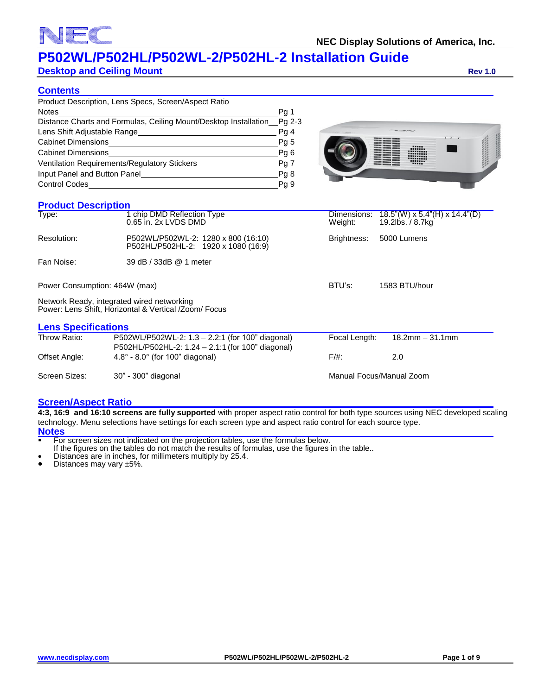# **1** (

# **P502WL/P502HL/P502WL-2/P502HL-2 Installation Guide**

**Desktop and Ceiling Mount Rev 1.0 Rev 1.0** 

### **Contents**

| Product Description, Lens Specs, Screen/Aspect Ratio                    |                 |
|-------------------------------------------------------------------------|-----------------|
| <b>Notes</b>                                                            | Pg 1            |
| Distance Charts and Formulas, Ceiling Mount/Desktop Installation_Pg 2-3 |                 |
| Lens Shift Adjustable Range                                             | Pg 4            |
| <b>Cabinet Dimensions</b>                                               | Pg <sub>5</sub> |
| <b>Cabinet Dimensions</b>                                               | Pg <sub>6</sub> |
| Ventilation Requirements/Regulatory Stickers                            | Pg 7            |
| Input Panel and Button Panel                                            | Pg8             |
| <b>Control Codes</b>                                                    | Pg 9            |



## **Product Description**

| <b>PIUUUL DESCHRUUI</b>       |                                                                                                       |                         |                                                      |  |  |
|-------------------------------|-------------------------------------------------------------------------------------------------------|-------------------------|------------------------------------------------------|--|--|
| Type:                         | 1 chip DMD Reflection Type<br>0.65 in. 2x LVDS DMD                                                    | Dimensions:<br>Weight:  | $18.5$ "(W) x 5.4"(H) x 14.4"(D)<br>19.2lbs. / 8.7kg |  |  |
| Resolution:                   | P502WL/P502WL-2: 1280 x 800 (16:10)<br>P502HL/P502HL-2: 1920 x 1080 (16:9)                            | Brightness:             | 5000 Lumens                                          |  |  |
| Fan Noise:                    | 39 dB / 33dB @ 1 meter                                                                                |                         |                                                      |  |  |
| Power Consumption: 464W (max) |                                                                                                       | BTU's:<br>1583 BTU/hour |                                                      |  |  |
|                               | Network Ready, integrated wired networking<br>Power: Lens Shift, Horizontal & Vertical /Zoom/ Focus   |                         |                                                      |  |  |
| <b>Lens Specifications</b>    |                                                                                                       |                         |                                                      |  |  |
| Throw Ratio:                  | P502WL/P502WL-2: 1.3 - 2.2:1 (for 100" diagonal)<br>P502HL/P502HL-2: 1.24 – 2.1:1 (for 100" diagonal) | Focal Length:           | $18.2$ mm $-31.1$ mm                                 |  |  |
| Offset Angle:                 | $4.8^{\circ}$ - 8.0 $^{\circ}$ (for 100" diagonal)                                                    | $F/\#$ :                | 2.0                                                  |  |  |
| Screen Sizes:                 | 30" - 300" diagonal                                                                                   |                         | Manual Focus/Manual Zoom                             |  |  |

### **Screen/Aspect Ratio**

**4:3, 16:9 and 16:10 screens are fully supported** with proper aspect ratio control for both type sources using NEC developed scaling technology. Menu selections have settings for each screen type and aspect ratio control for each source type. **Notes**

**For screen sizes not indicated on the projection tables, use the formulas below.** 

If the figures on the tables do not match the results of formulas, use the figures in the table..

Distances are in inches, for millimeters multiply by 25.4.

Distances may vary  $\pm 5\%$ .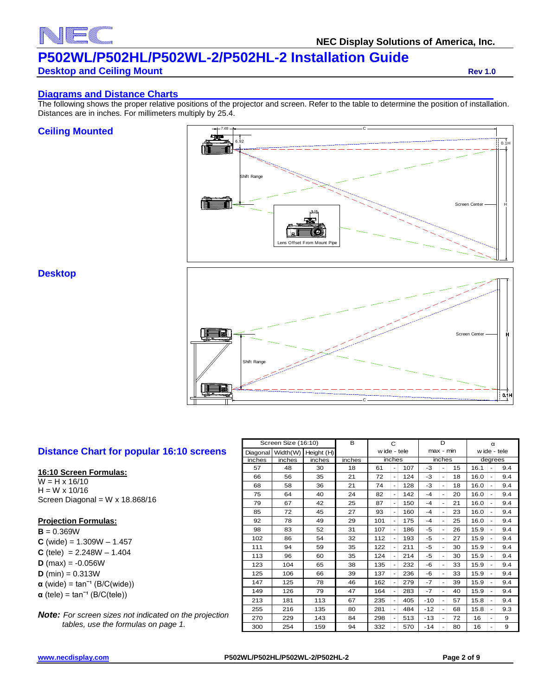

**NEC Display Solutions of America, Inc.**

# **P502WL/P502HL/P502WL-2/P502HL-2 Installation Guide**

### **Desktop and Ceiling Mount Rev 1.0 Rev 1.0**

#### **Diagrams and Distance Charts**

The following shows the proper relative positions of the projector and screen. Refer to the table to determine the position of installation. Distances are in inches. For millimeters multiply by 25.4.

#### **Ceiling Mounted**



#### **Desktop**



## **Distance Chart for popular 16:10 screens**

#### **16:10 Screen Formulas:**

 $W = H \times 16/10$  $H = W \times 10/16$ Screen Diagonal =  $W \times 18.868/16$ 

#### **Projection Formulas:**

**B** = 0.369W  $C$  (wide) = 1.309W  $- 1.457$ **C** (tele) =  $2.248W - 1.404$  $D$  (max) =  $-0.056W$ **D** (min) =  $0.313W$  $\alpha$  (wide) = tan<sup>-1</sup> (B/C(wide))  $\alpha$  (tele) = tan<sup>-1</sup> (B/C(tele))

*Note: For screen sizes not indicated on the projection tables, use the formulas on page 1.*

| Screen Size (16:10) |          | B          | C      |              |                          |           | D     |                          | α  |      |                |         |  |  |              |
|---------------------|----------|------------|--------|--------------|--------------------------|-----------|-------|--------------------------|----|------|----------------|---------|--|--|--------------|
| Diagonal            | Width(W) | Height (H) |        | w ide - tele |                          | max - min |       |                          |    |      |                |         |  |  | w ide - tele |
| inches              | inches   | inches     | inches |              | inches                   |           |       | inches                   |    |      |                | degrees |  |  |              |
| 57                  | 48       | 30         | 18     | 61           |                          | 107       | -3    | $\overline{a}$           | 15 | 16.1 | $\overline{a}$ | 9.4     |  |  |              |
| 66                  | 56       | 35         | 21     | 72           | ٠                        | 124       | -3    | $\sim$                   | 18 | 16.0 | $\blacksquare$ | 9.4     |  |  |              |
| 68                  | 58       | 36         | 21     | 74           | ٠                        | 128       | -3    | $\overline{a}$           | 18 | 16.0 | ۰              | 9.4     |  |  |              |
| 75                  | 64       | 40         | 24     | 82           | ۰                        | 142       | $-4$  | ÷,                       | 20 | 16.0 | $\blacksquare$ | 9.4     |  |  |              |
| 79                  | 67       | 42         | 25     | 87           | $\overline{a}$           | 150       | $-4$  | ÷,                       | 21 | 16.0 |                | 9.4     |  |  |              |
| 85                  | 72       | 45         | 27     | 93           | ٠                        | 160       | $-4$  | $\overline{a}$           | 23 | 16.0 | ۰              | 9.4     |  |  |              |
| 92                  | 78       | 49         | 29     | 101          | ٠                        | 175       | -4    | ٠                        | 25 | 16.0 | ٠              | 9.4     |  |  |              |
| 98                  | 83       | 52         | 31     | 107          | ٠                        | 186       | -5    | $\overline{\phantom{0}}$ | 26 | 15.9 | $\blacksquare$ | 9.4     |  |  |              |
| 102                 | 86       | 54         | 32     | 112          |                          | 193       | -5    | ٠                        | 27 | 15.9 | ۰              | 9.4     |  |  |              |
| 111                 | 94       | 59         | 35     | 122          | $\overline{\phantom{0}}$ | 211       | -5    | ÷,                       | 30 | 15.9 | $\blacksquare$ | 9.4     |  |  |              |
| 113                 | 96       | 60         | 35     | 124          | ٠                        | 214       | -5    | $\overline{\phantom{0}}$ | 30 | 15.9 | ٠              | 9.4     |  |  |              |
| 123                 | 104      | 65         | 38     | 135          | $\overline{\phantom{0}}$ | 232       | -6    | $\overline{a}$           | 33 | 15.9 | ٠              | 9.4     |  |  |              |
| 125                 | 106      | 66         | 39     | 137          | ٠                        | 236       | $-6$  | ÷,                       | 33 | 15.9 |                | 9.4     |  |  |              |
| 147                 | 125      | 78         | 46     | 162          | $\overline{\phantom{0}}$ | 279       | -7    | $\overline{a}$           | 39 | 15.9 | ۰              | 9.4     |  |  |              |
| 149                 | 126      | 79         | 47     | 164          | $\overline{\phantom{0}}$ | 283       | -7    | $\overline{\phantom{a}}$ | 40 | 15.9 | $\blacksquare$ | 9.4     |  |  |              |
| 213                 | 181      | 113        | 67     | 235          |                          | 405       | $-10$ | L,                       | 57 | 15.8 | $\blacksquare$ | 9.4     |  |  |              |
| 255                 | 216      | 135        | 80     | 281          | ٠                        | 484       | $-12$ | $\overline{\phantom{0}}$ | 68 | 15.8 | ۰              | 9.3     |  |  |              |
| 270                 | 229      | 143        | 84     | 298          | $\overline{\phantom{0}}$ | 513       | $-13$ | $\overline{\phantom{0}}$ | 72 | 16   | ۰              | 9       |  |  |              |
| 300                 | 254      | 159        | 94     | 332          | $\overline{a}$           | 570       | $-14$ | L,                       | 80 | 16   | ۰              | 9       |  |  |              |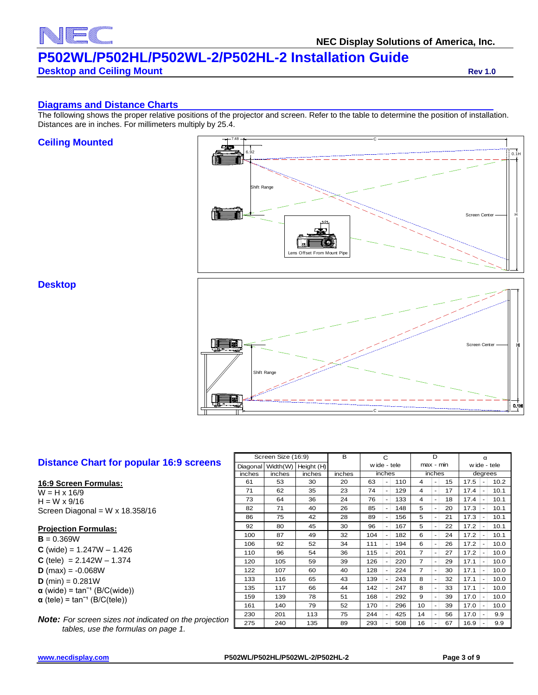# **NEC Display Solutions of America, Inc. P502WL/P502HL/P502WL-2/P502HL-2 Installation Guide**

# **Desktop and Ceiling Mount Rev 1.0 Rev 1.0**

FC

#### **Diagrams and Distance Charts**

The following shows the proper relative positions of the projector and screen. Refer to the table to determine the position of installation. Distances are in inches. For millimeters multiply by 25.4.

#### **Ceiling Mounted**



## **Desktop**



## **Distance Chart for popular 16:9 screens**

#### **16:9 Screen Formulas:**

 $W = H \times 16/9$  $H = W \times 9/16$ Screen Diagonal = W x 18.358/16

#### **Projection Formulas:**

 $B = 0.369W$  $C$  (wide) = 1.247W – 1.426 **C** (tele) =  $2.142W - 1.374$  $D$  (max) = -0.068W **D** (min) =  $0.281W$  $\alpha$  (wide) = tan<sup>-1</sup> (B/C(wide))  $\alpha$  (tele) = tan<sup>-1</sup> (B/C(tele))

*Note: For screen sizes not indicated on the projection tables, use the formulas on page 1.*

| Screen Size (16:9) |          | B          | C      |              |                | D   |                |                              | α  |              |   |         |
|--------------------|----------|------------|--------|--------------|----------------|-----|----------------|------------------------------|----|--------------|---|---------|
| Diagonal           | Width(W) | Height (H) |        | w ide - tele |                |     | max - min      |                              |    | w ide - tele |   |         |
| inches             | inches   | inches     | inches | inches       |                |     |                | inches                       |    |              |   | degrees |
| 61                 | 53       | 30         | 20     | 63           | ÷.             | 110 | 4              | L.                           | 15 | 17.5         | ۰ | 10.2    |
| 71                 | 62       | 35         | 23     | 74           | $\blacksquare$ | 129 | $\overline{4}$ | $\blacksquare$               | 17 | 17.4         |   | 10.1    |
| 73                 | 64       | 36         | 24     | 76           | ۰              | 133 | 4              | $\qquad \qquad \blacksquare$ | 18 | 17.4         | ۰ | 10.1    |
| 82                 | 71       | 40         | 26     | 85           | ۰              | 148 | 5              | $\overline{\phantom{m}}$     | 20 | 17.3         |   | 10.1    |
| 86                 | 75       | 42         | 28     | 89           | ۰              | 156 | 5              | ٠                            | 21 | 17.3         | ٠ | 10.1    |
| 92                 | 80       | 45         | 30     | 96           | ۰              | 167 | 5              | ÷.                           | 22 | 17.2         |   | 10.1    |
| 100                | 87       | 49         | 32     | 104          | ٠              | 182 | 6              | ٠                            | 24 | 17.2         | ٠ | 10.1    |
| 106                | 92       | 52         | 34     | 111          | ٠              | 194 | 6              | $\qquad \qquad \blacksquare$ | 26 | 17.2         |   | 10.0    |
| 110                | 96       | 54         | 36     | 115          | ۰              | 201 | 7              | $\blacksquare$               | 27 | 17.2         | ٠ | 10.0    |
| 120                | 105      | 59         | 39     | 126          | ۰              | 220 | 7              | $\blacksquare$               | 29 | 17.1         | ۰ | 10.0    |
| 122                | 107      | 60         | 40     | 128          | ۰              | 224 | $\overline{7}$ | ÷.                           | 30 | 17.1         |   | 10.0    |
| 133                | 116      | 65         | 43     | 139          | ٠              | 243 | 8              | $\overline{\phantom{m}}$     | 32 | 17.1         | ۰ | 10.0    |
| 135                | 117      | 66         | 44     | 142          |                | 247 | 8              | $\overline{\phantom{0}}$     | 33 | 17.1         |   | 10.0    |
| 159                | 139      | 78         | 51     | 168          | ۰              | 292 | 9              | ٠                            | 39 | 17.0         | ٠ | 10.0    |
| 161                | 140      | 79         | 52     | 170          | ٠              | 296 | 10             | $\blacksquare$               | 39 | 17.0         |   | 10.0    |
| 230                | 201      | 113        | 75     | 244          | ٠              | 425 | 14             | $\qquad \qquad \blacksquare$ | 56 | 17.0         | ۰ | 9.9     |
| 275                | 240      | 135        | 89     | 293          |                | 508 | 16             | $\qquad \qquad \blacksquare$ | 67 | 16.9         |   | 9.9     |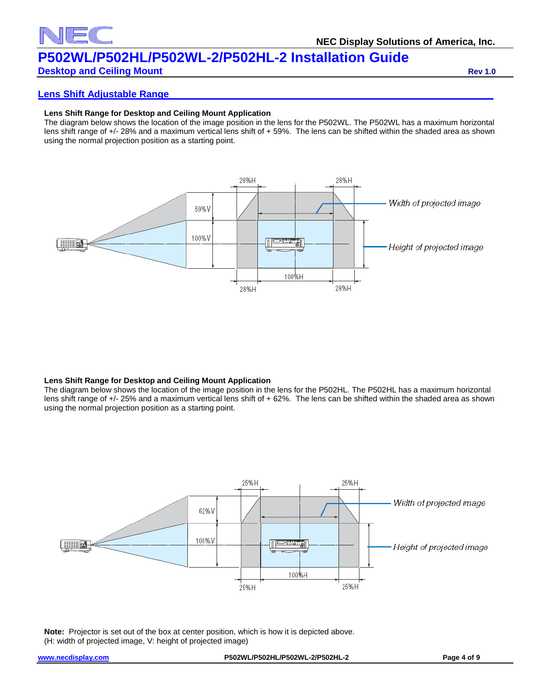

# **Desktop and Ceiling Mount Rev 1.0 Rev 1.0 Rev 1.0**

#### **Lens Shift Adjustable Range**

#### **Lens Shift Range for Desktop and Ceiling Mount Application**

The diagram below shows the location of the image position in the lens for the P502WL. The P502WL has a maximum horizontal lens shift range of +/- 28% and a maximum vertical lens shift of + 59%. The lens can be shifted within the shaded area as shown using the normal projection position as a starting point.



#### **Lens Shift Range for Desktop and Ceiling Mount Application**

The diagram below shows the location of the image position in the lens for the P502HL. The P502HL has a maximum horizontal lens shift range of +/- 25% and a maximum vertical lens shift of + 62%. The lens can be shifted within the shaded area as shown using the normal projection position as a starting point.



**Note:** Projector is set out of the box at center position, which is how it is depicted above. (H: width of projected image, V: height of projected image)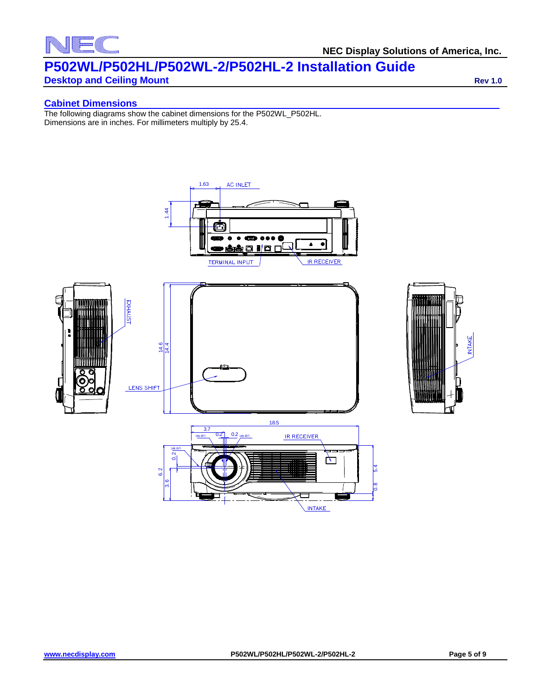# <u>e provinc</u>

# **P502WL/P502HL/P502WL-2/P502HL-2 Installation Guide**

# **Desktop and Ceiling Mount Rev 1.0 Rev 1.0 Rev 1.0**

# **Cabinet Dimensions**

The following diagrams show the cabinet dimensions for the P502WL\_P502HL. Dimensions are in inches. For millimeters multiply by 25.4.



**INTAKE**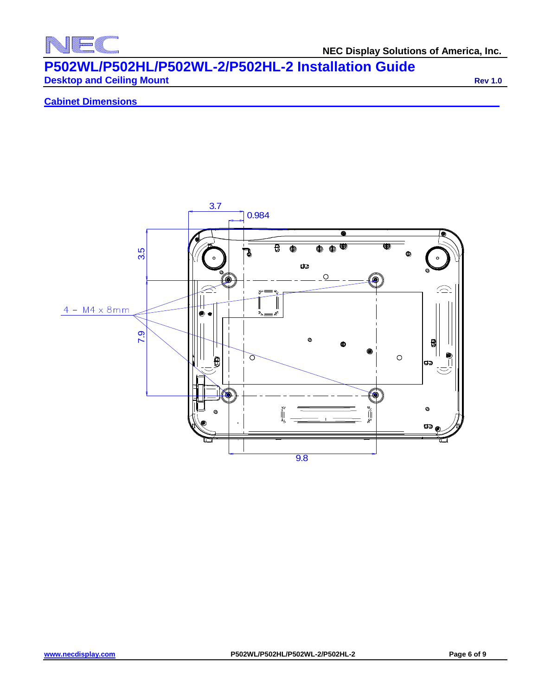

**NEC Display Solutions of America, Inc.**

# **P502WL/P502HL/P502WL-2/P502HL-2 Installation Guide Desktop and Ceiling Mount Rev 1.0 Rev 1.0**

**Cabinet Dimensions**

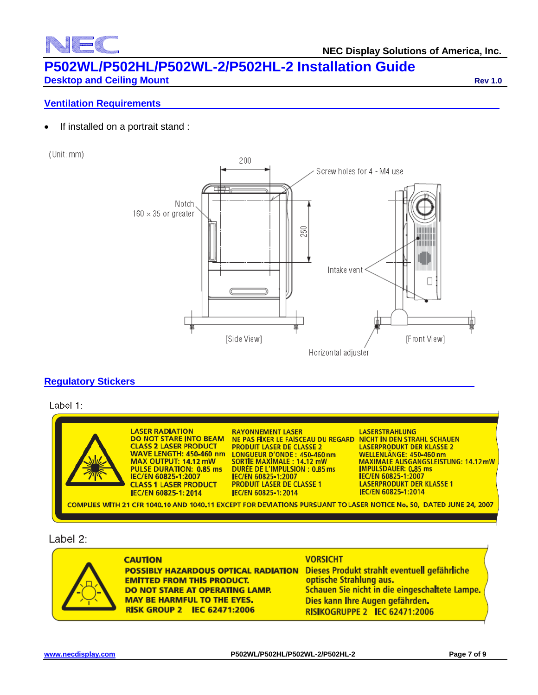#### **NEC Display Solutions of America, Inc.**

# **P502WL/P502HL/P502WL-2/P502HL-2 Installation Guide**

**Desktop and Ceiling Mount Rev 1.0 Rev 1.0 Rev 1.0** 

# **Ventilation Requirements**

• If installed on a portrait stand :

(Unit: mm)



## **Regulatory Stickers**

Label 1:



### Label 2:



**CAUTION POSSIBLY HAZARDOUS OPTICAL RADIATION EMITTED FROM THIS PRODUCT.** DO NOT STARE AT OPERATING LAMP. **MAY BE HARMFUL TO THE EYES, RISK GROUP 2 IEC 62471:2006** 

#### **VORSICHT**

Dieses Produkt strahlt eventuell gefährliche optische Strahlung aus. Schauen Sie nicht in die eingeschaltete Lampe. Dies kann Ihre Augen gefährden. RISIKOGRUPPE 2 IEC 62471:2006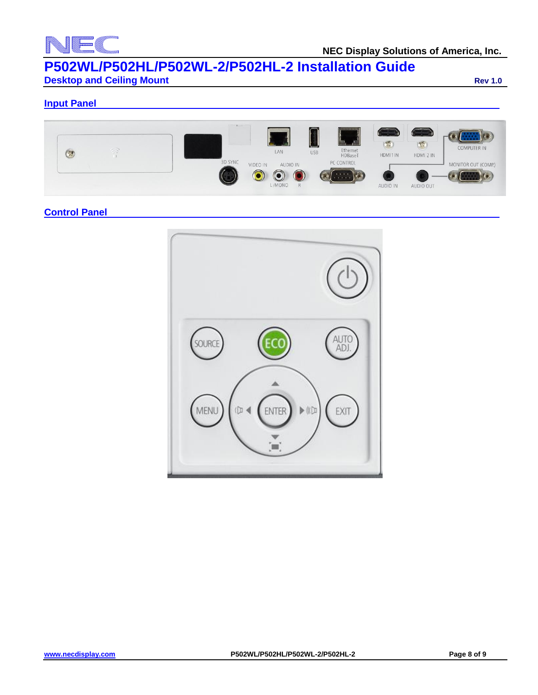

# **P502WL/P502HL/P502WL-2/P502HL-2 Installation Guide Desktop and Ceiling Mount Rev 1.0 Rev 1.0**

**Input Panel**



# **Control Panel**